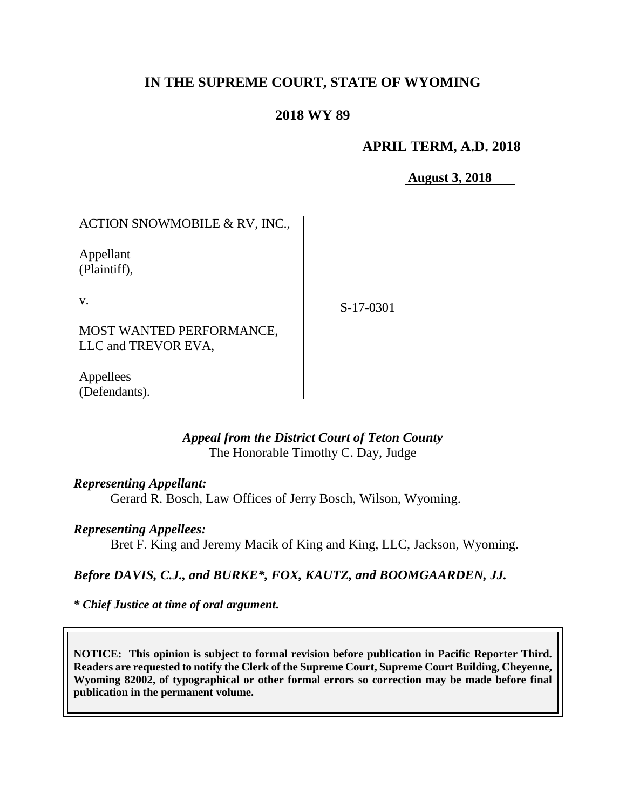# **IN THE SUPREME COURT, STATE OF WYOMING**

# **2018 WY 89**

## **APRIL TERM, A.D. 2018**

**August 3, 2018**

ACTION SNOWMOBILE & RV, INC.,

Appellant (Plaintiff),

v.

S-17-0301

MOST WANTED PERFORMANCE, LLC and TREVOR EVA,

Appellees (Defendants).

## *Appeal from the District Court of Teton County* The Honorable Timothy C. Day, Judge

#### *Representing Appellant:*

Gerard R. Bosch, Law Offices of Jerry Bosch, Wilson, Wyoming.

## *Representing Appellees:*

Bret F. King and Jeremy Macik of King and King, LLC, Jackson, Wyoming.

## *Before DAVIS, C.J., and BURKE\*, FOX, KAUTZ, and BOOMGAARDEN, JJ.*

*\* Chief Justice at time of oral argument***.**

**NOTICE: This opinion is subject to formal revision before publication in Pacific Reporter Third. Readers are requested to notify the Clerk of the Supreme Court, Supreme Court Building, Cheyenne, Wyoming 82002, of typographical or other formal errors so correction may be made before final publication in the permanent volume.**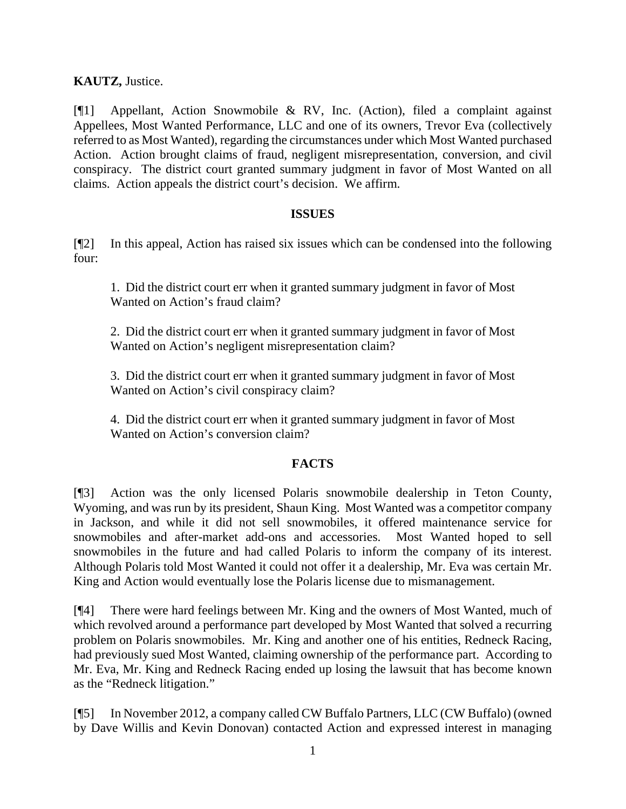**KAUTZ,** Justice.

[¶1] Appellant, Action Snowmobile & RV, Inc. (Action), filed a complaint against Appellees, Most Wanted Performance, LLC and one of its owners, Trevor Eva (collectively referred to as Most Wanted), regarding the circumstances under which Most Wanted purchased Action. Action brought claims of fraud, negligent misrepresentation, conversion, and civil conspiracy. The district court granted summary judgment in favor of Most Wanted on all claims. Action appeals the district court's decision. We affirm.

## **ISSUES**

[¶2] In this appeal, Action has raised six issues which can be condensed into the following four:

1. Did the district court err when it granted summary judgment in favor of Most Wanted on Action's fraud claim?

2. Did the district court err when it granted summary judgment in favor of Most Wanted on Action's negligent misrepresentation claim?

3. Did the district court err when it granted summary judgment in favor of Most Wanted on Action's civil conspiracy claim?

4. Did the district court err when it granted summary judgment in favor of Most Wanted on Action's conversion claim?

## **FACTS**

[¶3] Action was the only licensed Polaris snowmobile dealership in Teton County, Wyoming, and was run by its president, Shaun King. Most Wanted was a competitor company in Jackson, and while it did not sell snowmobiles, it offered maintenance service for snowmobiles and after-market add-ons and accessories. Most Wanted hoped to sell snowmobiles in the future and had called Polaris to inform the company of its interest. Although Polaris told Most Wanted it could not offer it a dealership, Mr. Eva was certain Mr. King and Action would eventually lose the Polaris license due to mismanagement.

[¶4] There were hard feelings between Mr. King and the owners of Most Wanted, much of which revolved around a performance part developed by Most Wanted that solved a recurring problem on Polaris snowmobiles. Mr. King and another one of his entities, Redneck Racing, had previously sued Most Wanted, claiming ownership of the performance part. According to Mr. Eva, Mr. King and Redneck Racing ended up losing the lawsuit that has become known as the "Redneck litigation."

[¶5] In November 2012, a company called CW Buffalo Partners, LLC (CW Buffalo) (owned by Dave Willis and Kevin Donovan) contacted Action and expressed interest in managing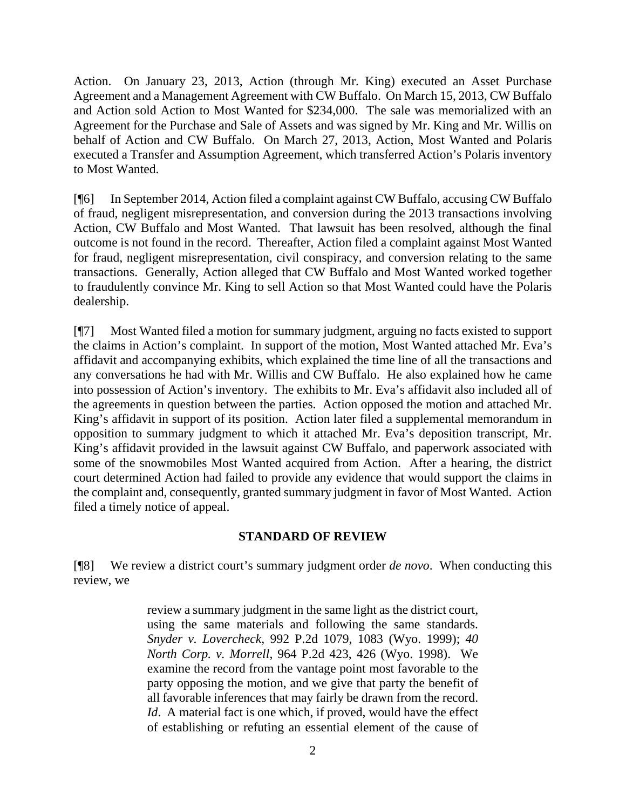Action. On January 23, 2013, Action (through Mr. King) executed an Asset Purchase Agreement and a Management Agreement with CW Buffalo. On March 15, 2013, CW Buffalo and Action sold Action to Most Wanted for \$234,000. The sale was memorialized with an Agreement for the Purchase and Sale of Assets and was signed by Mr. King and Mr. Willis on behalf of Action and CW Buffalo. On March 27, 2013, Action, Most Wanted and Polaris executed a Transfer and Assumption Agreement, which transferred Action's Polaris inventory to Most Wanted.

[¶6] In September 2014, Action filed a complaint against CW Buffalo, accusing CW Buffalo of fraud, negligent misrepresentation, and conversion during the 2013 transactions involving Action, CW Buffalo and Most Wanted. That lawsuit has been resolved, although the final outcome is not found in the record. Thereafter, Action filed a complaint against Most Wanted for fraud, negligent misrepresentation, civil conspiracy, and conversion relating to the same transactions. Generally, Action alleged that CW Buffalo and Most Wanted worked together to fraudulently convince Mr. King to sell Action so that Most Wanted could have the Polaris dealership.

[¶7] Most Wanted filed a motion for summary judgment, arguing no facts existed to support the claims in Action's complaint. In support of the motion, Most Wanted attached Mr. Eva's affidavit and accompanying exhibits, which explained the time line of all the transactions and any conversations he had with Mr. Willis and CW Buffalo. He also explained how he came into possession of Action's inventory. The exhibits to Mr. Eva's affidavit also included all of the agreements in question between the parties. Action opposed the motion and attached Mr. King's affidavit in support of its position. Action later filed a supplemental memorandum in opposition to summary judgment to which it attached Mr. Eva's deposition transcript, Mr. King's affidavit provided in the lawsuit against CW Buffalo, and paperwork associated with some of the snowmobiles Most Wanted acquired from Action. After a hearing, the district court determined Action had failed to provide any evidence that would support the claims in the complaint and, consequently, granted summary judgment in favor of Most Wanted. Action filed a timely notice of appeal.

#### **STANDARD OF REVIEW**

[¶8] We review a district court's summary judgment order *de novo*. When conducting this review, we

> review a summary judgment in the same light as the district court, using the same materials and following the same standards. *Snyder v. Lovercheck*, 992 P.2d 1079, 1083 (Wyo. 1999); *40 North Corp. v. Morrell*, 964 P.2d 423, 426 (Wyo. 1998). We examine the record from the vantage point most favorable to the party opposing the motion, and we give that party the benefit of all favorable inferences that may fairly be drawn from the record. *Id*. A material fact is one which, if proved, would have the effect of establishing or refuting an essential element of the cause of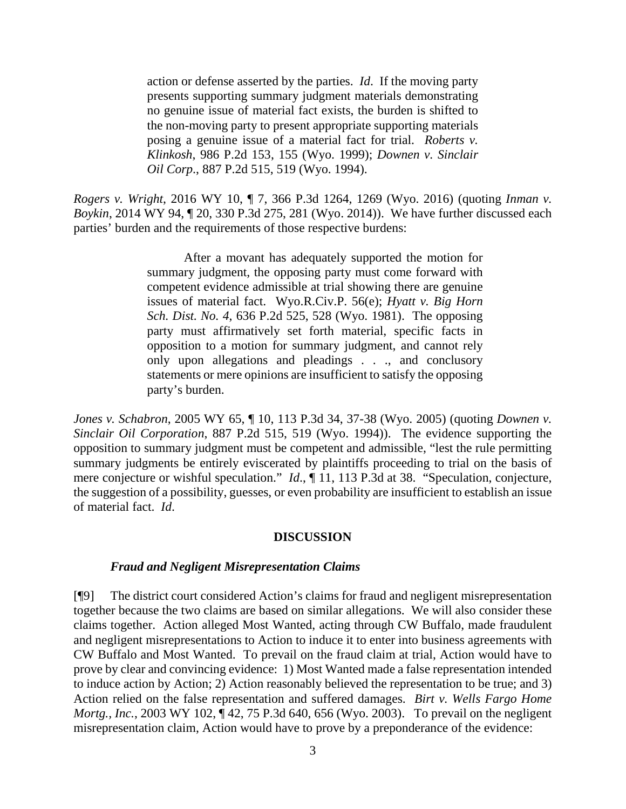action or defense asserted by the parties. *Id*. If the moving party presents supporting summary judgment materials demonstrating no genuine issue of material fact exists, the burden is shifted to the non-moving party to present appropriate supporting materials posing a genuine issue of a material fact for trial. *Roberts v. Klinkosh*, 986 P.2d 153, 155 (Wyo. 1999); *Downen v. Sinclair Oil Corp*., 887 P.2d 515, 519 (Wyo. 1994).

*Rogers v. Wright*, 2016 WY 10, ¶ 7, 366 P.3d 1264, 1269 (Wyo. 2016) (quoting *Inman v. Boykin*, 2014 WY 94, ¶ 20, 330 P.3d 275, 281 (Wyo. 2014)). We have further discussed each parties' burden and the requirements of those respective burdens:

> After a movant has adequately supported the motion for summary judgment, the opposing party must come forward with competent evidence admissible at trial showing there are genuine issues of material fact. Wyo.R.Civ.P. 56(e); *Hyatt v. Big Horn Sch. Dist. No. 4*, 636 P.2d 525, 528 (Wyo. 1981). The opposing party must affirmatively set forth material, specific facts in opposition to a motion for summary judgment, and cannot rely only upon allegations and pleadings . . ., and conclusory statements or mere opinions are insufficient to satisfy the opposing party's burden.

*Jones v. Schabron*, 2005 WY 65, ¶ 10, 113 P.3d 34, 37-38 (Wyo. 2005) (quoting *Downen v. Sinclair Oil Corporation*, 887 P.2d 515, 519 (Wyo. 1994)). The evidence supporting the opposition to summary judgment must be competent and admissible, "lest the rule permitting summary judgments be entirely eviscerated by plaintiffs proceeding to trial on the basis of mere conjecture or wishful speculation." *Id.*,  $\P$  11, 113 P.3d at 38. "Speculation, conjecture, the suggestion of a possibility, guesses, or even probability are insufficient to establish an issue of material fact. *Id*.

#### **DISCUSSION**

#### *Fraud and Negligent Misrepresentation Claims*

[¶9] The district court considered Action's claims for fraud and negligent misrepresentation together because the two claims are based on similar allegations. We will also consider these claims together. Action alleged Most Wanted, acting through CW Buffalo, made fraudulent and negligent misrepresentations to Action to induce it to enter into business agreements with CW Buffalo and Most Wanted. To prevail on the fraud claim at trial, Action would have to prove by clear and convincing evidence: 1) Most Wanted made a false representation intended to induce action by Action; 2) Action reasonably believed the representation to be true; and 3) Action relied on the false representation and suffered damages. *Birt v. Wells Fargo Home Mortg., Inc.*, 2003 WY 102, ¶42, 75 P.3d 640, 656 (Wyo. 2003). To prevail on the negligent misrepresentation claim, Action would have to prove by a preponderance of the evidence: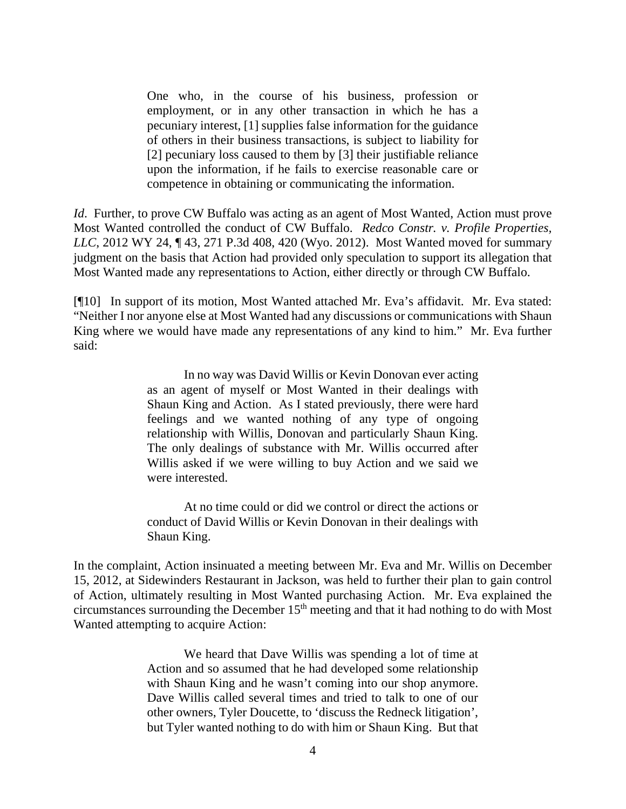One who, in the course of his business, profession or employment, or in any other transaction in which he has a pecuniary interest, [1] supplies false information for the guidance of others in their business transactions, is subject to liability for [2] pecuniary loss caused to them by [3] their justifiable reliance upon the information, if he fails to exercise reasonable care or competence in obtaining or communicating the information.

*Id*. Further, to prove CW Buffalo was acting as an agent of Most Wanted, Action must prove Most Wanted controlled the conduct of CW Buffalo. *Redco Constr. v. Profile Properties, LLC*, 2012 WY 24, ¶ 43, 271 P.3d 408, 420 (Wyo. 2012). Most Wanted moved for summary judgment on the basis that Action had provided only speculation to support its allegation that Most Wanted made any representations to Action, either directly or through CW Buffalo.

[¶10] In support of its motion, Most Wanted attached Mr. Eva's affidavit. Mr. Eva stated: "Neither I nor anyone else at Most Wanted had any discussions or communications with Shaun King where we would have made any representations of any kind to him." Mr. Eva further said:

> In no way was David Willis or Kevin Donovan ever acting as an agent of myself or Most Wanted in their dealings with Shaun King and Action. As I stated previously, there were hard feelings and we wanted nothing of any type of ongoing relationship with Willis, Donovan and particularly Shaun King. The only dealings of substance with Mr. Willis occurred after Willis asked if we were willing to buy Action and we said we were interested.

> At no time could or did we control or direct the actions or conduct of David Willis or Kevin Donovan in their dealings with Shaun King.

In the complaint, Action insinuated a meeting between Mr. Eva and Mr. Willis on December 15, 2012, at Sidewinders Restaurant in Jackson, was held to further their plan to gain control of Action, ultimately resulting in Most Wanted purchasing Action. Mr. Eva explained the circumstances surrounding the December  $15<sup>th</sup>$  meeting and that it had nothing to do with Most Wanted attempting to acquire Action:

> We heard that Dave Willis was spending a lot of time at Action and so assumed that he had developed some relationship with Shaun King and he wasn't coming into our shop anymore. Dave Willis called several times and tried to talk to one of our other owners, Tyler Doucette, to 'discuss the Redneck litigation', but Tyler wanted nothing to do with him or Shaun King. But that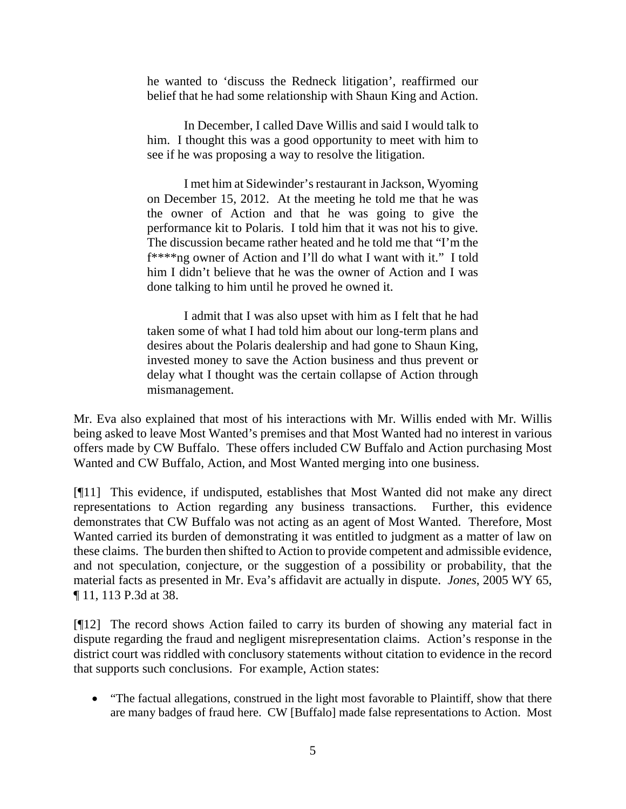he wanted to 'discuss the Redneck litigation', reaffirmed our belief that he had some relationship with Shaun King and Action.

In December, I called Dave Willis and said I would talk to him. I thought this was a good opportunity to meet with him to see if he was proposing a way to resolve the litigation.

I met him at Sidewinder's restaurant in Jackson, Wyoming on December 15, 2012. At the meeting he told me that he was the owner of Action and that he was going to give the performance kit to Polaris. I told him that it was not his to give. The discussion became rather heated and he told me that "I'm the f\*\*\*\*ng owner of Action and I'll do what I want with it." I told him I didn't believe that he was the owner of Action and I was done talking to him until he proved he owned it.

I admit that I was also upset with him as I felt that he had taken some of what I had told him about our long-term plans and desires about the Polaris dealership and had gone to Shaun King, invested money to save the Action business and thus prevent or delay what I thought was the certain collapse of Action through mismanagement.

Mr. Eva also explained that most of his interactions with Mr. Willis ended with Mr. Willis being asked to leave Most Wanted's premises and that Most Wanted had no interest in various offers made by CW Buffalo. These offers included CW Buffalo and Action purchasing Most Wanted and CW Buffalo, Action, and Most Wanted merging into one business.

[¶11] This evidence, if undisputed, establishes that Most Wanted did not make any direct representations to Action regarding any business transactions. Further, this evidence demonstrates that CW Buffalo was not acting as an agent of Most Wanted. Therefore, Most Wanted carried its burden of demonstrating it was entitled to judgment as a matter of law on these claims. The burden then shifted to Action to provide competent and admissible evidence, and not speculation, conjecture, or the suggestion of a possibility or probability, that the material facts as presented in Mr. Eva's affidavit are actually in dispute. *Jones*, 2005 WY 65, ¶ 11, 113 P.3d at 38.

[¶12] The record shows Action failed to carry its burden of showing any material fact in dispute regarding the fraud and negligent misrepresentation claims. Action's response in the district court was riddled with conclusory statements without citation to evidence in the record that supports such conclusions. For example, Action states:

• "The factual allegations, construed in the light most favorable to Plaintiff, show that there are many badges of fraud here. CW [Buffalo] made false representations to Action. Most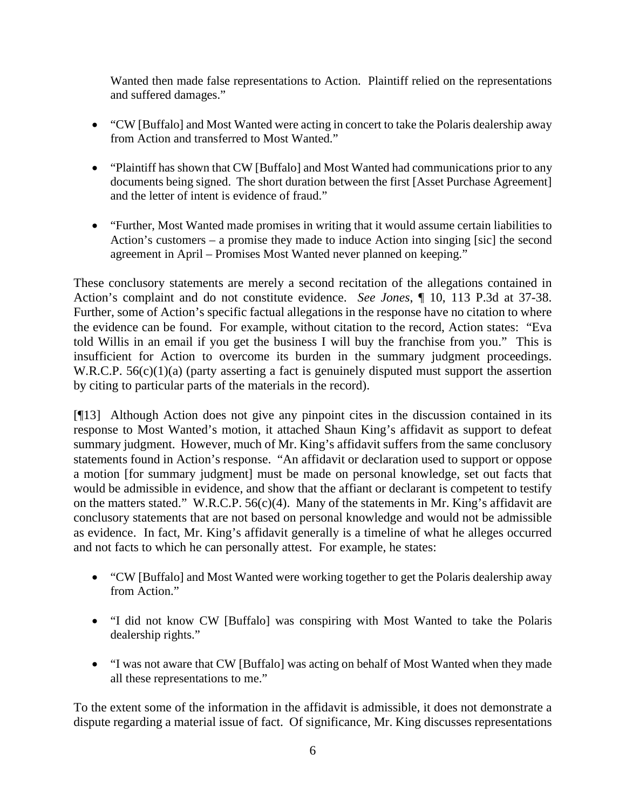Wanted then made false representations to Action. Plaintiff relied on the representations and suffered damages."

- "CW [Buffalo] and Most Wanted were acting in concert to take the Polaris dealership away from Action and transferred to Most Wanted."
- "Plaintiff has shown that CW [Buffalo] and Most Wanted had communications prior to any documents being signed. The short duration between the first [Asset Purchase Agreement] and the letter of intent is evidence of fraud."
- "Further, Most Wanted made promises in writing that it would assume certain liabilities to Action's customers – a promise they made to induce Action into singing [sic] the second agreement in April – Promises Most Wanted never planned on keeping."

These conclusory statements are merely a second recitation of the allegations contained in Action's complaint and do not constitute evidence. *See Jones*, ¶ 10, 113 P.3d at 37-38. Further, some of Action's specific factual allegations in the response have no citation to where the evidence can be found. For example, without citation to the record, Action states: "Eva told Willis in an email if you get the business I will buy the franchise from you." This is insufficient for Action to overcome its burden in the summary judgment proceedings. W.R.C.P.  $56(c)(1)(a)$  (party asserting a fact is genuinely disputed must support the assertion by citing to particular parts of the materials in the record).

[¶13] Although Action does not give any pinpoint cites in the discussion contained in its response to Most Wanted's motion, it attached Shaun King's affidavit as support to defeat summary judgment. However, much of Mr. King's affidavit suffers from the same conclusory statements found in Action's response. "An affidavit or declaration used to support or oppose a motion [for summary judgment] must be made on personal knowledge, set out facts that would be admissible in evidence, and show that the affiant or declarant is competent to testify on the matters stated." W.R.C.P.  $56(c)(4)$ . Many of the statements in Mr. King's affidavit are conclusory statements that are not based on personal knowledge and would not be admissible as evidence. In fact, Mr. King's affidavit generally is a timeline of what he alleges occurred and not facts to which he can personally attest. For example, he states:

- "CW [Buffalo] and Most Wanted were working together to get the Polaris dealership away from Action."
- "I did not know CW [Buffalo] was conspiring with Most Wanted to take the Polaris dealership rights."
- "I was not aware that CW [Buffalo] was acting on behalf of Most Wanted when they made all these representations to me."

To the extent some of the information in the affidavit is admissible, it does not demonstrate a dispute regarding a material issue of fact. Of significance, Mr. King discusses representations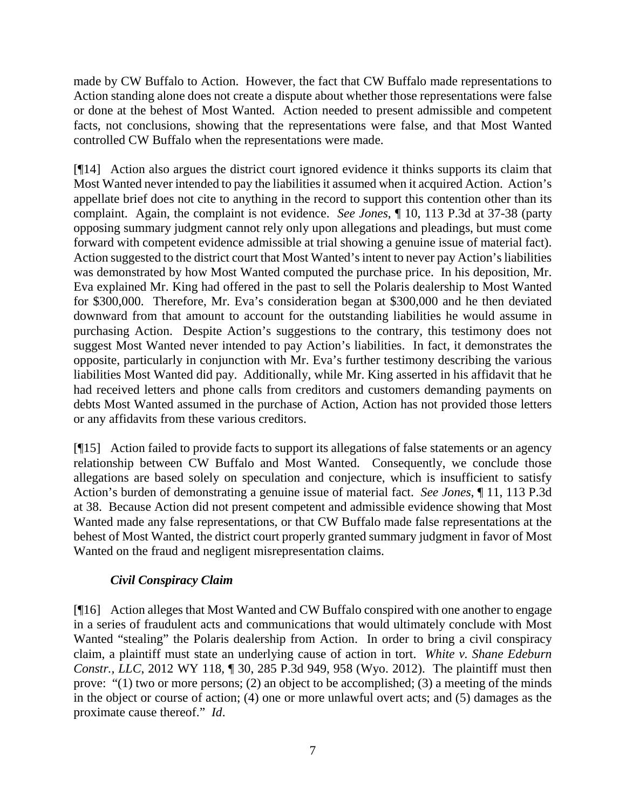made by CW Buffalo to Action. However, the fact that CW Buffalo made representations to Action standing alone does not create a dispute about whether those representations were false or done at the behest of Most Wanted. Action needed to present admissible and competent facts, not conclusions, showing that the representations were false, and that Most Wanted controlled CW Buffalo when the representations were made.

[¶14] Action also argues the district court ignored evidence it thinks supports its claim that Most Wanted never intended to pay the liabilities it assumed when it acquired Action. Action's appellate brief does not cite to anything in the record to support this contention other than its complaint. Again, the complaint is not evidence. *See Jones*, ¶ 10, 113 P.3d at 37-38 (party opposing summary judgment cannot rely only upon allegations and pleadings, but must come forward with competent evidence admissible at trial showing a genuine issue of material fact). Action suggested to the district court that Most Wanted's intent to never pay Action's liabilities was demonstrated by how Most Wanted computed the purchase price. In his deposition, Mr. Eva explained Mr. King had offered in the past to sell the Polaris dealership to Most Wanted for \$300,000. Therefore, Mr. Eva's consideration began at \$300,000 and he then deviated downward from that amount to account for the outstanding liabilities he would assume in purchasing Action. Despite Action's suggestions to the contrary, this testimony does not suggest Most Wanted never intended to pay Action's liabilities. In fact, it demonstrates the opposite, particularly in conjunction with Mr. Eva's further testimony describing the various liabilities Most Wanted did pay. Additionally, while Mr. King asserted in his affidavit that he had received letters and phone calls from creditors and customers demanding payments on debts Most Wanted assumed in the purchase of Action, Action has not provided those letters or any affidavits from these various creditors.

[¶15] Action failed to provide facts to support its allegations of false statements or an agency relationship between CW Buffalo and Most Wanted. Consequently, we conclude those allegations are based solely on speculation and conjecture, which is insufficient to satisfy Action's burden of demonstrating a genuine issue of material fact. *See Jones*, ¶ 11, 113 P.3d at 38. Because Action did not present competent and admissible evidence showing that Most Wanted made any false representations, or that CW Buffalo made false representations at the behest of Most Wanted, the district court properly granted summary judgment in favor of Most Wanted on the fraud and negligent misrepresentation claims.

# *Civil Conspiracy Claim*

[¶16] Action alleges that Most Wanted and CW Buffalo conspired with one another to engage in a series of fraudulent acts and communications that would ultimately conclude with Most Wanted "stealing" the Polaris dealership from Action. In order to bring a civil conspiracy claim, a plaintiff must state an underlying cause of action in tort. *White v. Shane Edeburn Constr., LLC*, 2012 WY 118, ¶ 30, 285 P.3d 949, 958 (Wyo. 2012). The plaintiff must then prove: "(1) two or more persons; (2) an object to be accomplished; (3) a meeting of the minds in the object or course of action; (4) one or more unlawful overt acts; and (5) damages as the proximate cause thereof." *Id*.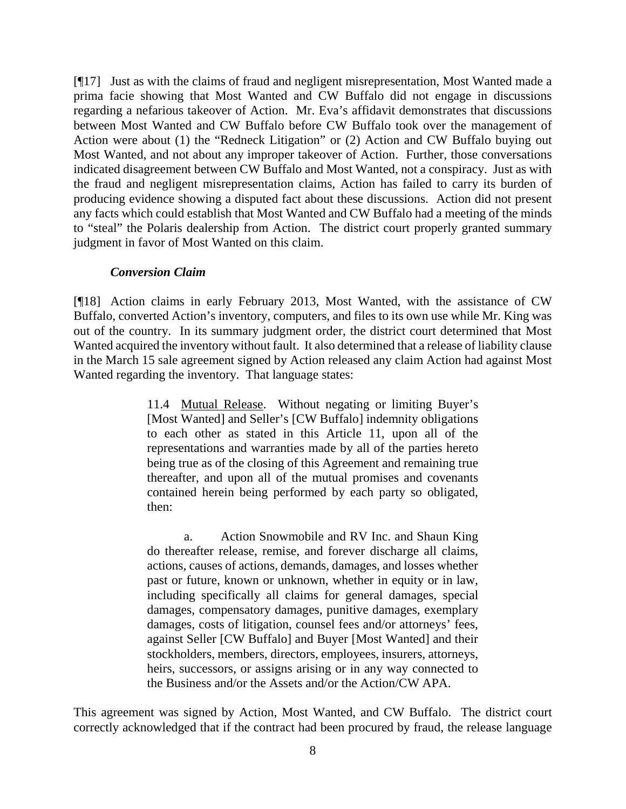[¶17] Just as with the claims of fraud and negligent misrepresentation, Most Wanted made a prima facie showing that Most Wanted and CW Buffalo did not engage in discussions regarding a nefarious takeover of Action. Mr. Eva's affidavit demonstrates that discussions between Most Wanted and CW Buffalo before CW Buffalo took over the management of Action were about (1) the "Redneck Litigation" or (2) Action and CW Buffalo buying out Most Wanted, and not about any improper takeover of Action. Further, those conversations indicated disagreement between CW Buffalo and Most Wanted, not a conspiracy. Just as with the fraud and negligent misrepresentation claims, Action has failed to carry its burden of producing evidence showing a disputed fact about these discussions. Action did not present any facts which could establish that Most Wanted and CW Buffalo had a meeting of the minds to "steal" the Polaris dealership from Action. The district court properly granted summary judgment in favor of Most Wanted on this claim.

#### *Conversion Claim*

[¶18] Action claims in early February 2013, Most Wanted, with the assistance of CW Buffalo, converted Action's inventory, computers, and files to its own use while Mr. King was out of the country. In its summary judgment order, the district court determined that Most Wanted acquired the inventory without fault. It also determined that a release of liability clause in the March 15 sale agreement signed by Action released any claim Action had against Most Wanted regarding the inventory. That language states:

> 11.4 Mutual Release. Without negating or limiting Buyer's [Most Wanted] and Seller's [CW Buffalo] indemnity obligations to each other as stated in this Article 11, upon all of the representations and warranties made by all of the parties hereto being true as of the closing of this Agreement and remaining true thereafter, and upon all of the mutual promises and covenants contained herein being performed by each party so obligated, then:

> a. Action Snowmobile and RV Inc. and Shaun King do thereafter release, remise, and forever discharge all claims, actions, causes of actions, demands, damages, and losses whether past or future, known or unknown, whether in equity or in law, including specifically all claims for general damages, special damages, compensatory damages, punitive damages, exemplary damages, costs of litigation, counsel fees and/or attorneys' fees, against Seller [CW Buffalo] and Buyer [Most Wanted] and their stockholders, members, directors, employees, insurers, attorneys, heirs, successors, or assigns arising or in any way connected to the Business and/or the Assets and/or the Action/CW APA.

This agreement was signed by Action, Most Wanted, and CW Buffalo. The district court correctly acknowledged that if the contract had been procured by fraud, the release language